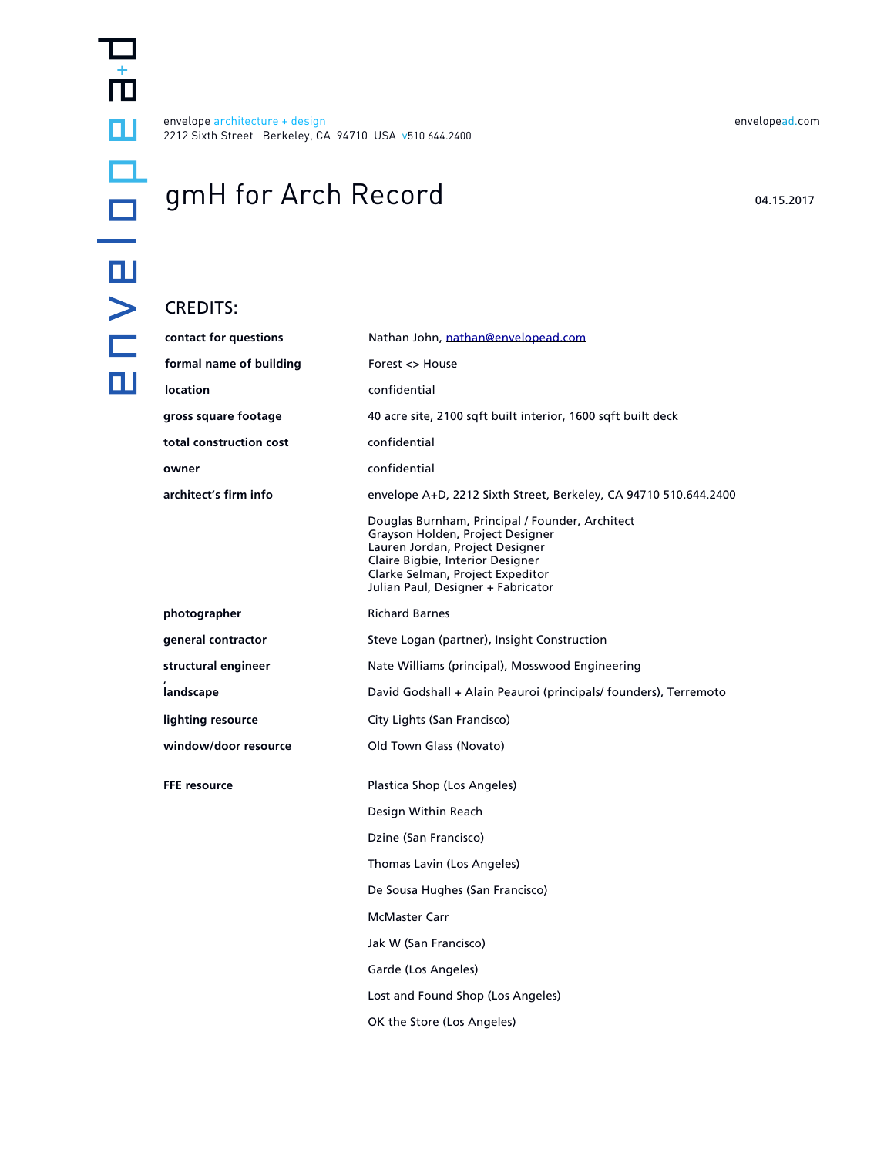envelope architecture + design [envelopead.com](http://www.envelopead.com) 2212 Sixth Street Berkeley, CA 94710 USA v510 644.2400

# gmH for Arch Record 04.15.2017

### CREDITS:

| contact for questions   | Nathan John, nathan@envelopead.com                                                                                                                                                                                                   |
|-------------------------|--------------------------------------------------------------------------------------------------------------------------------------------------------------------------------------------------------------------------------------|
| formal name of building | Forest <> House                                                                                                                                                                                                                      |
| <b>location</b>         | confidential                                                                                                                                                                                                                         |
| gross square footage    | 40 acre site, 2100 sqft built interior, 1600 sqft built deck                                                                                                                                                                         |
| total construction cost | confidential                                                                                                                                                                                                                         |
| owner                   | confidential                                                                                                                                                                                                                         |
| architect's firm info   | envelope A+D, 2212 Sixth Street, Berkeley, CA 94710 510.644.2400                                                                                                                                                                     |
|                         | Douglas Burnham, Principal / Founder, Architect<br>Grayson Holden, Project Designer<br>Lauren Jordan, Project Designer<br>Claire Bigbie, Interior Designer<br>Clarke Selman, Project Expeditor<br>Julian Paul, Designer + Fabricator |
| photographer            | <b>Richard Barnes</b>                                                                                                                                                                                                                |
| general contractor      | Steve Logan (partner), Insight Construction                                                                                                                                                                                          |
| structural engineer     | Nate Williams (principal), Mosswood Engineering                                                                                                                                                                                      |
| landscape               | David Godshall + Alain Peauroi (principals/ founders), Terremoto                                                                                                                                                                     |
| lighting resource       | City Lights (San Francisco)                                                                                                                                                                                                          |
| window/door resource    |                                                                                                                                                                                                                                      |
|                         | Old Town Glass (Novato)                                                                                                                                                                                                              |
| <b>FFE</b> resource     | Plastica Shop (Los Angeles)                                                                                                                                                                                                          |
|                         | Design Within Reach                                                                                                                                                                                                                  |
|                         | Dzine (San Francisco)                                                                                                                                                                                                                |
|                         | Thomas Lavin (Los Angeles)                                                                                                                                                                                                           |
|                         | De Sousa Hughes (San Francisco)                                                                                                                                                                                                      |
|                         | <b>McMaster Carr</b>                                                                                                                                                                                                                 |
|                         | Jak W (San Francisco)                                                                                                                                                                                                                |
|                         | Garde (Los Angeles)                                                                                                                                                                                                                  |
|                         | Lost and Found Shop (Los Angeles)                                                                                                                                                                                                    |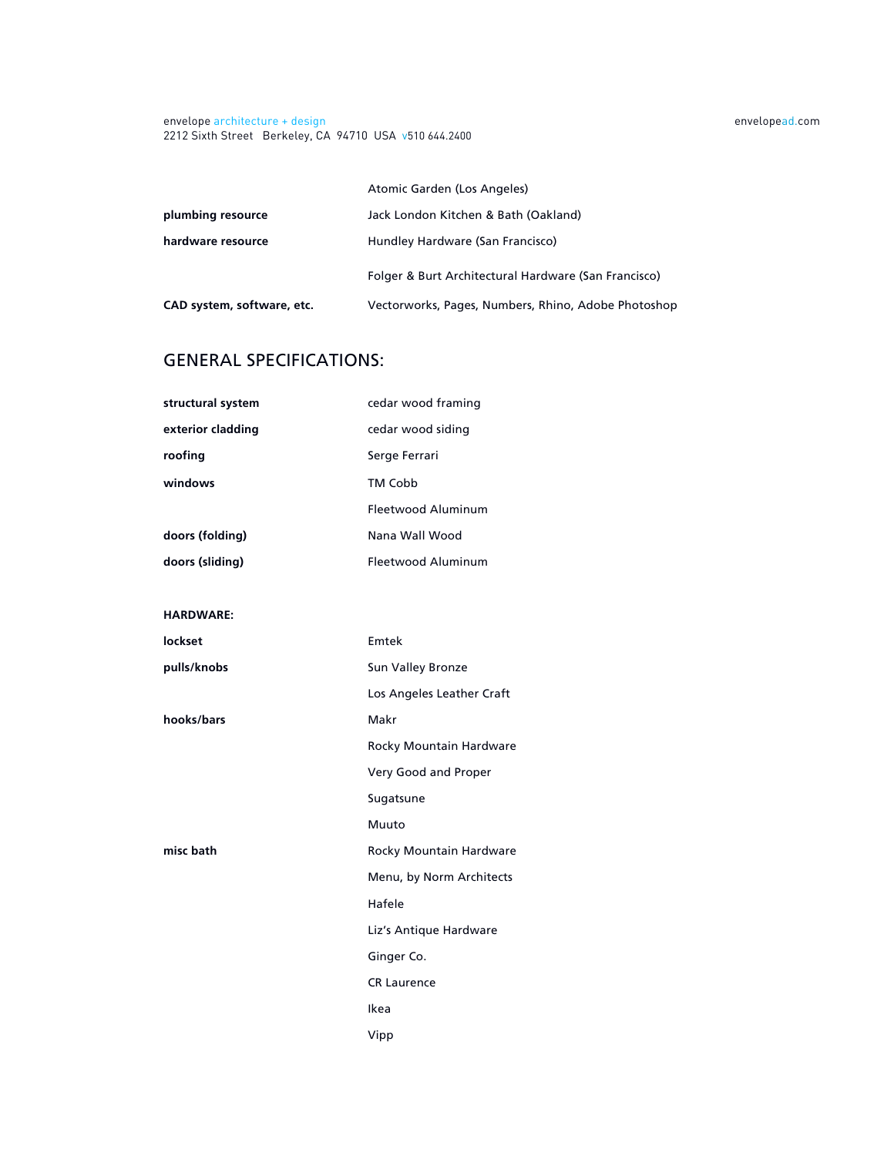envelope architecture + design [envelopead.com](http://www.envelopead.com) 2212 Sixth Street Berkeley, CA 94710 USA v510 644.2400

 Atomic Garden (Los Angeles) **plumbing resource** Jack London Kitchen & Bath (Oakland) hardware resource **Hundley Hardware (San Francisco)**  Folger & Burt Architectural Hardware (San Francisco) **CAD system, software, etc.** Vectorworks, Pages, Numbers, Rhino, Adobe Photoshop

## GENERAL SPECIFICATIONS:

| structural system | cedar wood framing        |
|-------------------|---------------------------|
| exterior cladding | cedar wood siding         |
| roofing           | Serge Ferrari             |
| windows           | TM Cobb                   |
|                   | Fleetwood Aluminum        |
| doors (folding)   | Nana Wall Wood            |
| doors (sliding)   | <b>Fleetwood Aluminum</b> |
|                   |                           |
| <b>HARDWARE:</b>  |                           |
| lockset           | Emtek                     |
| pulls/knobs       | Sun Valley Bronze         |
|                   | Los Angeles Leather Craft |
| hooks/bars        | Makr                      |
|                   | Rocky Mountain Hardware   |
|                   | Very Good and Proper      |
|                   | Sugatsune                 |
|                   | Muuto                     |
| misc bath         | Rocky Mountain Hardware   |
|                   | Menu, by Norm Architects  |
|                   | Hafele                    |
|                   | Liz's Antique Hardware    |
|                   | Ginger Co.                |
|                   | <b>CR Laurence</b>        |
|                   | Ikea                      |
|                   | Vipp                      |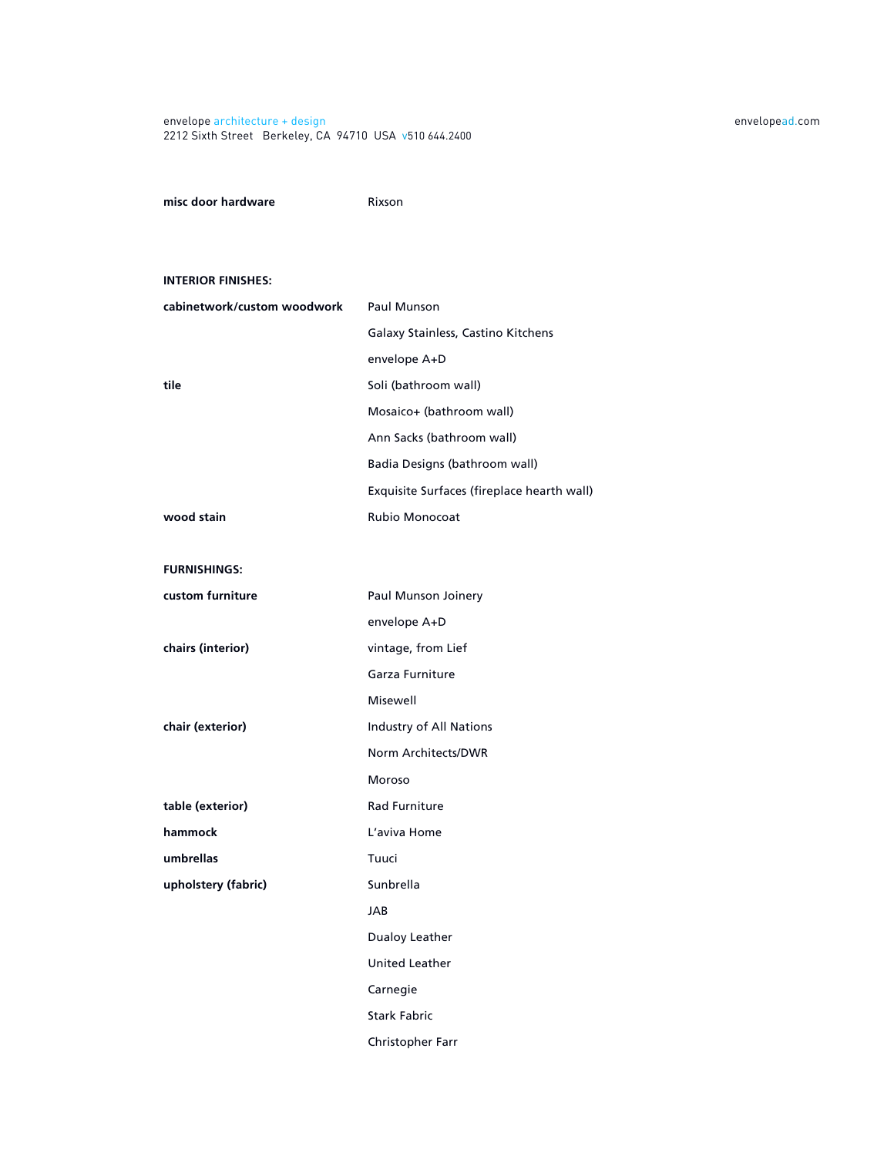#### envelope architecture + design [envelopead.com](http://www.envelopead.com) 2212 Sixth Street Berkeley, CA 94710 USA v510 644.2400

**misc door hardware Rixson** 

#### **INTERIOR FINISHES:**

| cabinetwork/custom woodwork | Paul Munson                                |
|-----------------------------|--------------------------------------------|
|                             | Galaxy Stainless, Castino Kitchens         |
|                             | envelope A+D                               |
| tile                        | Soli (bathroom wall)                       |
|                             | Mosaico+ (bathroom wall)                   |
|                             | Ann Sacks (bathroom wall)                  |
|                             | Badia Designs (bathroom wall)              |
|                             | Exquisite Surfaces (fireplace hearth wall) |
| wood stain                  | <b>Rubio Monocoat</b>                      |
|                             |                                            |
| <b>FURNISHINGS:</b>         |                                            |
| custom furniture            | Paul Munson Joinery                        |
|                             | envelope A+D                               |
| chairs (interior)           | vintage, from Lief                         |
|                             | Garza Furniture                            |
|                             | Misewell                                   |
| chair (exterior)            | Industry of All Nations                    |
|                             | Norm Architects/DWR                        |
|                             | Moroso                                     |
| table (exterior)            | <b>Rad Furniture</b>                       |
| hammock                     | L'aviva Home                               |
| umbrellas                   | Tuuci                                      |
| upholstery (fabric)         | Sunbrella                                  |
|                             | <b>JAB</b>                                 |
|                             | Dualoy Leather                             |
|                             | <b>United Leather</b>                      |

Carnegie

Stark Fabric

Christopher Farr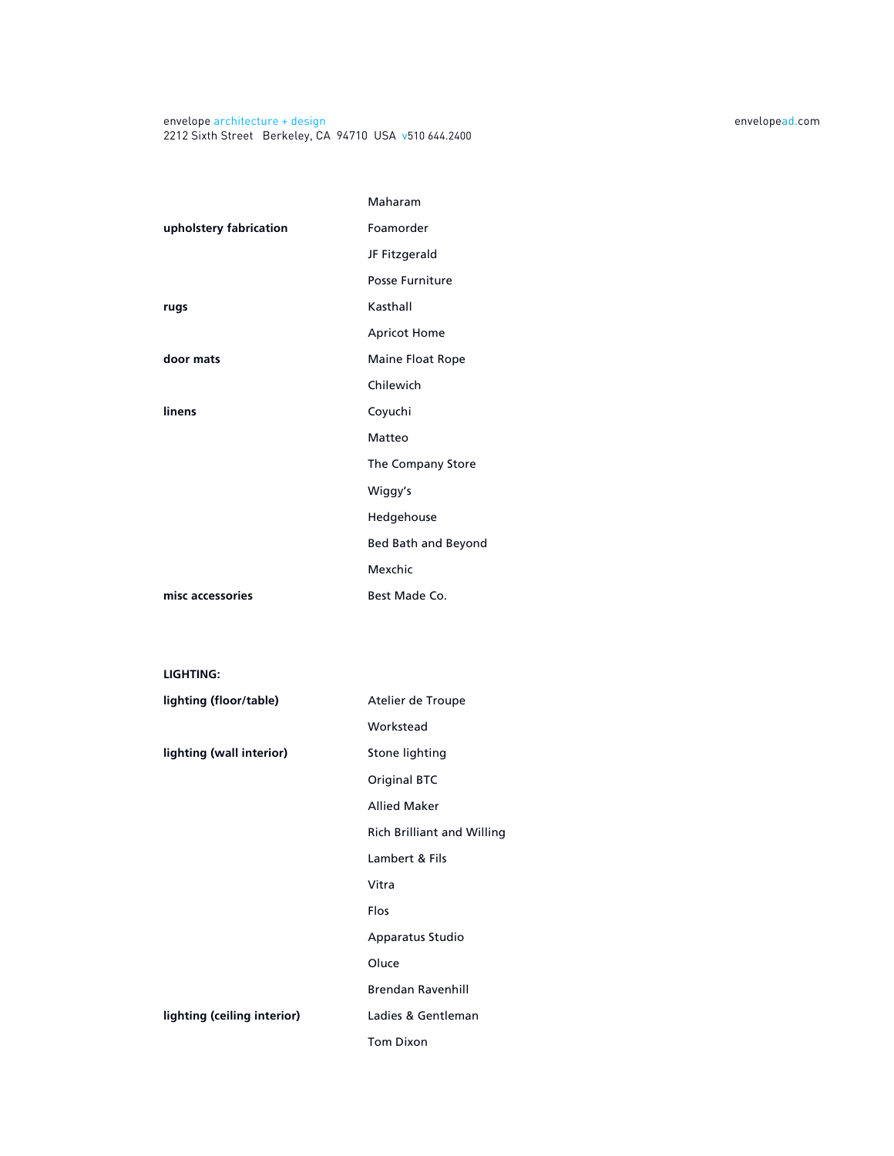|                             | Maharam                           |
|-----------------------------|-----------------------------------|
| upholstery fabrication      | Foamorder                         |
|                             | JF Fitzgerald                     |
|                             | Posse Furniture                   |
| rugs                        | Kasthall                          |
|                             | <b>Apricot Home</b>               |
| door mats                   | Maine Float Rope                  |
|                             | Chilewich                         |
| linens                      | Coyuchi                           |
|                             | Matteo                            |
|                             | The Company Store                 |
|                             | Wiggy's                           |
|                             | Hedgehouse                        |
|                             | Bed Bath and Beyond               |
|                             | Mexchic                           |
| misc accessories            | Best Made Co.                     |
|                             |                                   |
|                             |                                   |
| LIGHTING:                   |                                   |
| lighting (floor/table)      | Atelier de Troupe                 |
|                             | Workstead                         |
| lighting (wall interior)    | Stone lighting                    |
|                             | <b>Original BTC</b>               |
|                             | <b>Allied Maker</b>               |
|                             | <b>Rich Brilliant and Willing</b> |
|                             | Lambert & Fils                    |
|                             | Vitra                             |
|                             | Flos                              |
|                             | Apparatus Studio                  |
|                             | Oluce                             |
|                             | <b>Brendan Ravenhill</b>          |
| lighting (ceiling interior) | Ladies & Gentleman                |
|                             | <b>Tom Dixon</b>                  |